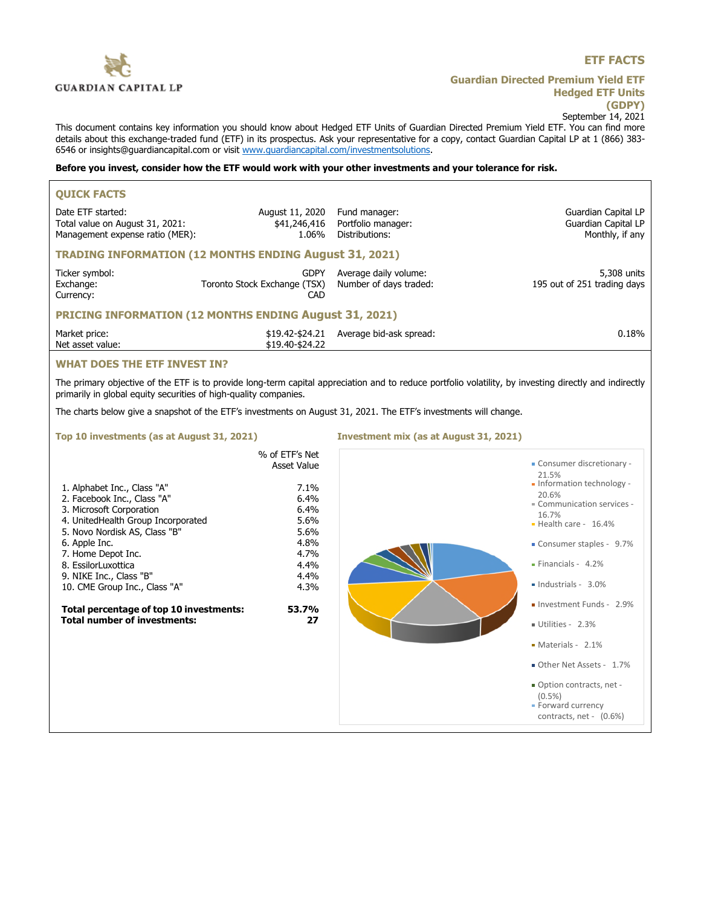

# **ETF FACTS**

**Guardian Directed Premium Yield ETF Hedged ETF Units (GDPY)** September 14, 2021

This document contains key information you should know about Hedged ETF Units of Guardian Directed Premium Yield ETF. You can find more details about this exchange-traded fund (ETF) in its prospectus. Ask your representative for a copy, contact Guardian Capital LP at 1 (866) 383- 6546 or insights@guardiancapital.com or visit www.guardiancapital.com/investmentsolutions.

## **Before you invest, consider how the ETF would work with your other investments and your tolerance for risk.**

| <b>QUICK FACTS</b>                                                                                                                                                                                                                                                                                                                                                        |                                                                                                                              |                                                                                                                  |                                                                                                                                                                                                                                                                                                                                                                                                                                         |  |
|---------------------------------------------------------------------------------------------------------------------------------------------------------------------------------------------------------------------------------------------------------------------------------------------------------------------------------------------------------------------------|------------------------------------------------------------------------------------------------------------------------------|------------------------------------------------------------------------------------------------------------------|-----------------------------------------------------------------------------------------------------------------------------------------------------------------------------------------------------------------------------------------------------------------------------------------------------------------------------------------------------------------------------------------------------------------------------------------|--|
| Date ETF started:<br>Total value on August 31, 2021:<br>Management expense ratio (MER):                                                                                                                                                                                                                                                                                   | August 11, 2020<br>\$41,246,416<br>1.06%                                                                                     | Fund manager:<br>Portfolio manager:<br>Distributions:                                                            | Guardian Capital LP<br>Guardian Capital LP<br>Monthly, if any                                                                                                                                                                                                                                                                                                                                                                           |  |
| <b>TRADING INFORMATION (12 MONTHS ENDING August 31, 2021)</b>                                                                                                                                                                                                                                                                                                             |                                                                                                                              |                                                                                                                  |                                                                                                                                                                                                                                                                                                                                                                                                                                         |  |
| Ticker symbol:<br>Exchange:<br>Currency:                                                                                                                                                                                                                                                                                                                                  | <b>GDPY</b><br>Toronto Stock Exchange (TSX)<br>CAD                                                                           | Average daily volume:<br>Number of days traded:                                                                  | 5,308 units<br>195 out of 251 trading days                                                                                                                                                                                                                                                                                                                                                                                              |  |
| <b>PRICING INFORMATION (12 MONTHS ENDING August 31, 2021)</b>                                                                                                                                                                                                                                                                                                             |                                                                                                                              |                                                                                                                  |                                                                                                                                                                                                                                                                                                                                                                                                                                         |  |
| Market price:<br>Net asset value:                                                                                                                                                                                                                                                                                                                                         | \$19.40-\$24.22                                                                                                              | \$19.42-\$24.21 Average bid-ask spread:                                                                          | 0.18%                                                                                                                                                                                                                                                                                                                                                                                                                                   |  |
| <b>WHAT DOES THE ETF INVEST IN?</b>                                                                                                                                                                                                                                                                                                                                       |                                                                                                                              |                                                                                                                  |                                                                                                                                                                                                                                                                                                                                                                                                                                         |  |
| The primary objective of the ETF is to provide long-term capital appreciation and to reduce portfolio volatility, by investing directly and indirectly<br>primarily in global equity securities of high-quality companies.                                                                                                                                                |                                                                                                                              |                                                                                                                  |                                                                                                                                                                                                                                                                                                                                                                                                                                         |  |
|                                                                                                                                                                                                                                                                                                                                                                           |                                                                                                                              | The charts below give a snapshot of the ETF's investments on August 31, 2021. The ETF's investments will change. |                                                                                                                                                                                                                                                                                                                                                                                                                                         |  |
| Top 10 investments (as at August 31, 2021)                                                                                                                                                                                                                                                                                                                                |                                                                                                                              | Investment mix (as at August 31, 2021)                                                                           |                                                                                                                                                                                                                                                                                                                                                                                                                                         |  |
| 1. Alphabet Inc., Class "A"<br>2. Facebook Inc., Class "A"<br>3. Microsoft Corporation<br>4. UnitedHealth Group Incorporated<br>5. Novo Nordisk AS, Class "B"<br>6. Apple Inc.<br>7. Home Depot Inc.<br>8. EssilorLuxottica<br>9. NIKE Inc., Class "B"<br>10. CME Group Inc., Class "A"<br>Total percentage of top 10 investments:<br><b>Total number of investments:</b> | % of ETF's Net<br>Asset Value<br>7.1%<br>6.4%<br>6.4%<br>5.6%<br>5.6%<br>4.8%<br>4.7%<br>4.4%<br>4.4%<br>4.3%<br>53.7%<br>27 |                                                                                                                  | - Consumer discretionary -<br>21.5%<br>- Information technology -<br>20.6%<br>Communication services -<br>16.7%<br>$\blacksquare$ Health care - 16.4%<br>Consumer staples - 9.7%<br>$\blacksquare$ Financials - 4.2%<br>· Industrials - 3.0%<br>Investment Funds - 2.9%<br>Utilities - 2.3%<br>• Materials - 2.1%<br>Other Net Assets - 1.7%<br>. Option contracts, net -<br>$(0.5\%)$<br>• Forward currency<br>contracts, net - (0.6%) |  |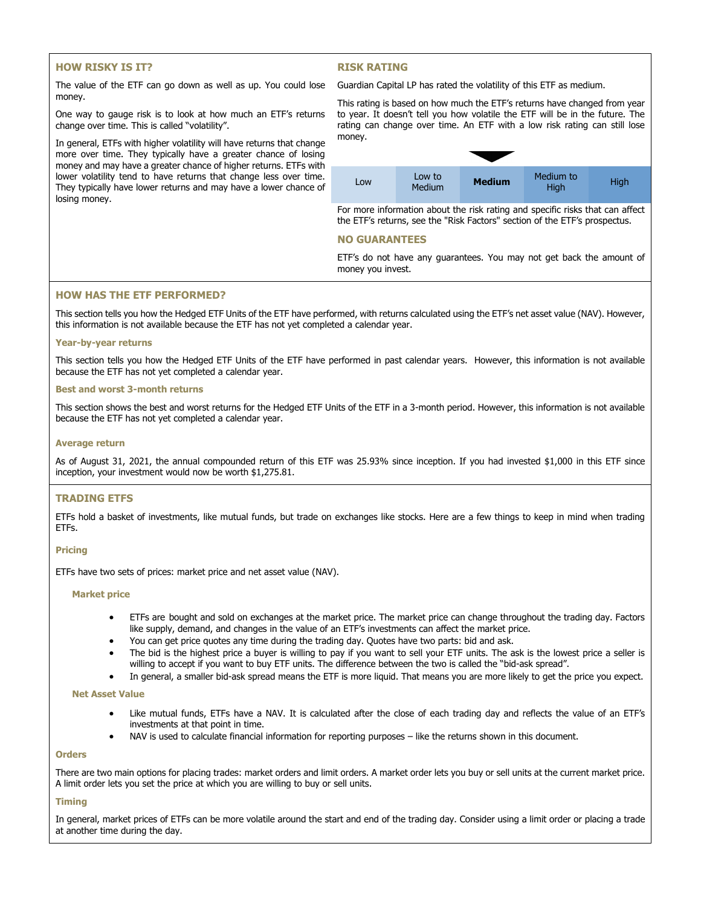# **HOW RISKY IS IT?**

### **RISK RATING**

The value of the ETF can go down as well as up. You could lose money.

One way to gauge risk is to look at how much an ETF's returns change over time. This is called "volatility".

In general, ETFs with higher volatility will have returns that change more over time. They typically have a greater chance of losing money and may have a greater chance of higher returns. ETFs with lower volatility tend to have returns that change less over time. They typically have lower returns and may have a lower chance of losing money.

Guardian Capital LP has rated the volatility of this ETF as medium.



For more information about the risk rating and specific risks that can affect the ETF's returns, see the "Risk Factors" section of the ETF's prospectus.

### **NO GUARANTEES**

ETF's do not have any guarantees. You may not get back the amount of money you invest.

### **HOW HAS THE ETF PERFORMED?**

This section tells you how the Hedged ETF Units of the ETF have performed, with returns calculated using the ETF's net asset value (NAV). However, this information is not available because the ETF has not yet completed a calendar year.

### **Year-by-year returns**

This section tells you how the Hedged ETF Units of the ETF have performed in past calendar years. However, this information is not available because the ETF has not yet completed a calendar year.

#### **Best and worst 3-month returns**

This section shows the best and worst returns for the Hedged ETF Units of the ETF in a 3-month period. However, this information is not available because the ETF has not yet completed a calendar year.

#### **Average return**

As of August 31, 2021, the annual compounded return of this ETF was 25.93% since inception. If you had invested \$1,000 in this ETF since inception, your investment would now be worth \$1,275.81.

### **TRADING ETFS**

ETFs hold a basket of investments, like mutual funds, but trade on exchanges like stocks. Here are a few things to keep in mind when trading ETFs.

#### **Pricing**

ETFs have two sets of prices: market price and net asset value (NAV).

#### **Market price**

- ETFs are bought and sold on exchanges at the market price. The market price can change throughout the trading day. Factors like supply, demand, and changes in the value of an ETF's investments can affect the market price.
- You can get price quotes any time during the trading day. Quotes have two parts: bid and ask.
- The bid is the highest price a buyer is willing to pay if you want to sell your ETF units. The ask is the lowest price a seller is willing to accept if you want to buy ETF units. The difference between the two is called the "bid-ask spread".
- In general, a smaller bid-ask spread means the ETF is more liquid. That means you are more likely to get the price you expect.

#### **Net Asset Value**

- Like mutual funds, ETFs have a NAV. It is calculated after the close of each trading day and reflects the value of an ETF's investments at that point in time.
- NAV is used to calculate financial information for reporting purposes like the returns shown in this document.

#### **Orders**

There are two main options for placing trades: market orders and limit orders. A market order lets you buy or sell units at the current market price. A limit order lets you set the price at which you are willing to buy or sell units.

#### **Timing**

In general, market prices of ETFs can be more volatile around the start and end of the trading day. Consider using a limit order or placing a trade at another time during the day.